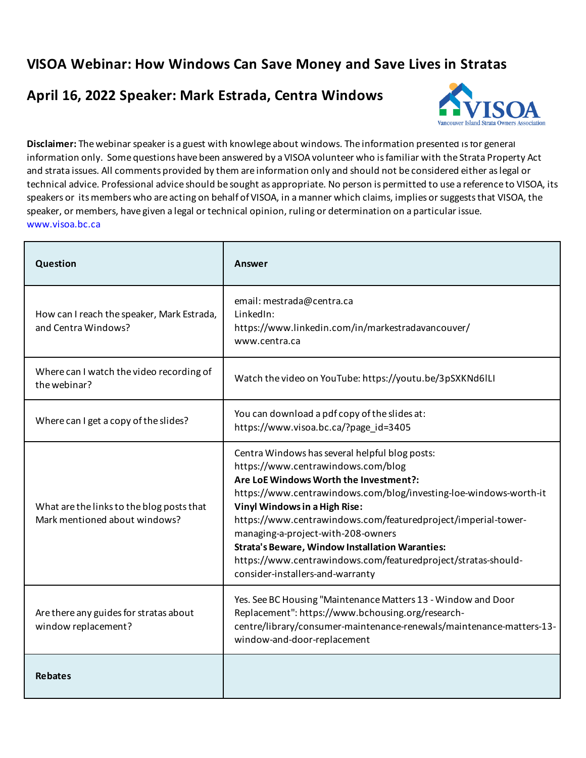## **VISOA Webinar: How Windows Can Save Money and Save Lives in Stratas**

## **April 16, 2022 Speaker: Mark Estrada, Centra Windows**



**Disclaimer:** The webinar speaker is a guest with knowlege about windows. The information presented is for general information only. Some questions have been answered by a VISOA volunteer who is familiar with the Strata Property Act and strata issues. All comments provided by them are information only and should not be considered either as legal or technical advice. Professional advice should be sought as appropriate. No person is permitted to use a reference to VISOA, its speakers or its members who are acting on behalf of VISOA, in a manner which claims, implies or suggests that VISOA, the speaker, or members, have given a legal or technical opinion, ruling or determination on a particular issue. www.visoa.bc.ca

| Question                                                                   | Answer                                                                                                                                                                                                                                                                                                                                                                                                                                                                                                     |
|----------------------------------------------------------------------------|------------------------------------------------------------------------------------------------------------------------------------------------------------------------------------------------------------------------------------------------------------------------------------------------------------------------------------------------------------------------------------------------------------------------------------------------------------------------------------------------------------|
| How can I reach the speaker, Mark Estrada,<br>and Centra Windows?          | email: mestrada@centra.ca<br>LinkedIn:<br>https://www.linkedin.com/in/markestradavancouver/<br>www.centra.ca                                                                                                                                                                                                                                                                                                                                                                                               |
| Where can I watch the video recording of<br>the webinar?                   | Watch the video on YouTube: https://youtu.be/3pSXKNd6ILI                                                                                                                                                                                                                                                                                                                                                                                                                                                   |
| Where can I get a copy of the slides?                                      | You can download a pdf copy of the slides at:<br>https://www.visoa.bc.ca/?page id=3405                                                                                                                                                                                                                                                                                                                                                                                                                     |
| What are the links to the blog posts that<br>Mark mentioned about windows? | Centra Windows has several helpful blog posts:<br>https://www.centrawindows.com/blog<br>Are LoE Windows Worth the Investment?:<br>https://www.centrawindows.com/blog/investing-loe-windows-worth-it<br>Vinyl Windows in a High Rise:<br>https://www.centrawindows.com/featuredproject/imperial-tower-<br>managing-a-project-with-208-owners<br><b>Strata's Beware, Window Installation Waranties:</b><br>https://www.centrawindows.com/featuredproject/stratas-should-<br>consider-installers-and-warranty |
| Are there any guides for stratas about<br>window replacement?              | Yes. See BC Housing "Maintenance Matters 13 - Window and Door<br>Replacement": https://www.bchousing.org/research-<br>centre/library/consumer-maintenance-renewals/maintenance-matters-13-<br>window-and-door-replacement                                                                                                                                                                                                                                                                                  |
| <b>Rebates</b>                                                             |                                                                                                                                                                                                                                                                                                                                                                                                                                                                                                            |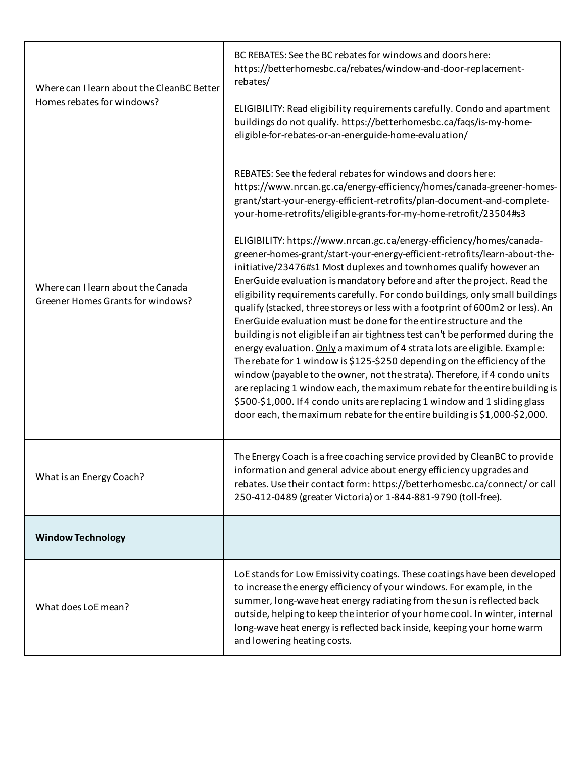| Where can I learn about the CleanBC Better                              | BC REBATES: See the BC rebates for windows and doors here:<br>https://betterhomesbc.ca/rebates/window-and-door-replacement-<br>rebates/                                                                                                                                                                                                                                                                                                                                                                                                                                                                                                                                                                                                                                                                                                                                                                                                                                                                                                                                                                                                                                                                                                                                                                                                                                                                    |
|-------------------------------------------------------------------------|------------------------------------------------------------------------------------------------------------------------------------------------------------------------------------------------------------------------------------------------------------------------------------------------------------------------------------------------------------------------------------------------------------------------------------------------------------------------------------------------------------------------------------------------------------------------------------------------------------------------------------------------------------------------------------------------------------------------------------------------------------------------------------------------------------------------------------------------------------------------------------------------------------------------------------------------------------------------------------------------------------------------------------------------------------------------------------------------------------------------------------------------------------------------------------------------------------------------------------------------------------------------------------------------------------------------------------------------------------------------------------------------------------|
| Homes rebates for windows?                                              | ELIGIBILITY: Read eligibility requirements carefully. Condo and apartment<br>buildings do not qualify. https://betterhomesbc.ca/faqs/is-my-home-<br>eligible-for-rebates-or-an-energuide-home-evaluation/                                                                                                                                                                                                                                                                                                                                                                                                                                                                                                                                                                                                                                                                                                                                                                                                                                                                                                                                                                                                                                                                                                                                                                                                  |
| Where can I learn about the Canada<br>Greener Homes Grants for windows? | REBATES: See the federal rebates for windows and doors here:<br>https://www.nrcan.gc.ca/energy-efficiency/homes/canada-greener-homes-<br>grant/start-your-energy-efficient-retrofits/plan-document-and-complete-<br>your-home-retrofits/eligible-grants-for-my-home-retrofit/23504#s3<br>ELIGIBILITY: https://www.nrcan.gc.ca/energy-efficiency/homes/canada-<br>greener-homes-grant/start-your-energy-efficient-retrofits/learn-about-the-<br>initiative/23476#s1 Most duplexes and townhomes qualify however an<br>EnerGuide evaluation is mandatory before and after the project. Read the<br>eligibility requirements carefully. For condo buildings, only small buildings<br>qualify (stacked, three storeys or less with a footprint of 600m2 or less). An<br>EnerGuide evaluation must be done for the entire structure and the<br>building is not eligible if an air tightness test can't be performed during the<br>energy evaluation. Only a maximum of 4 strata lots are eligible. Example:<br>The rebate for 1 window is \$125-\$250 depending on the efficiency of the<br>window (payable to the owner, not the strata). Therefore, if 4 condo units<br>are replacing 1 window each, the maximum rebate for the entire building is<br>\$500-\$1,000. If 4 condo units are replacing 1 window and 1 sliding glass<br>door each, the maximum rebate for the entire building is \$1,000-\$2,000. |
| What is an Energy Coach?                                                | The Energy Coach is a free coaching service provided by CleanBC to provide<br>information and general advice about energy efficiency upgrades and<br>rebates. Use their contact form: https://betterhomesbc.ca/connect/ or call<br>250-412-0489 (greater Victoria) or 1-844-881-9790 (toll-free).                                                                                                                                                                                                                                                                                                                                                                                                                                                                                                                                                                                                                                                                                                                                                                                                                                                                                                                                                                                                                                                                                                          |
| <b>Window Technology</b>                                                |                                                                                                                                                                                                                                                                                                                                                                                                                                                                                                                                                                                                                                                                                                                                                                                                                                                                                                                                                                                                                                                                                                                                                                                                                                                                                                                                                                                                            |
| What does LoE mean?                                                     | LoE stands for Low Emissivity coatings. These coatings have been developed<br>to increase the energy efficiency of your windows. For example, in the<br>summer, long-wave heat energy radiating from the sun is reflected back<br>outside, helping to keep the interior of your home cool. In winter, internal<br>long-wave heat energy is reflected back inside, keeping your home warm<br>and lowering heating costs.                                                                                                                                                                                                                                                                                                                                                                                                                                                                                                                                                                                                                                                                                                                                                                                                                                                                                                                                                                                    |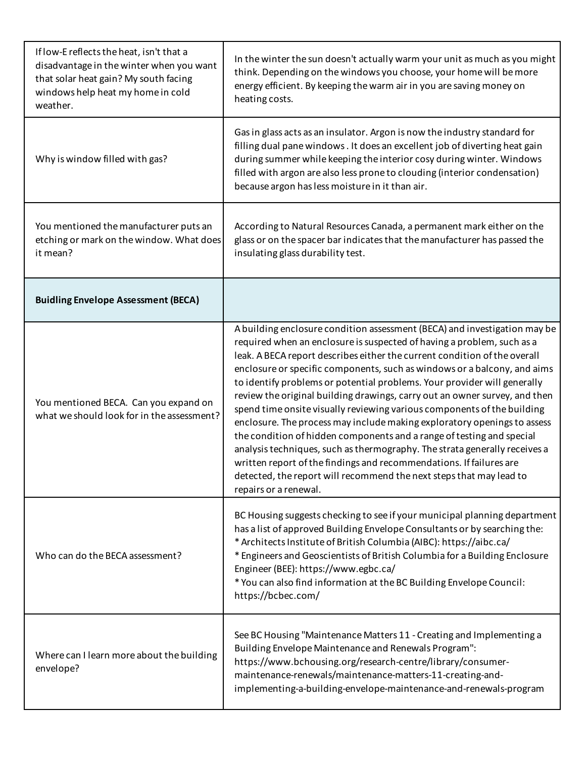| If low-E reflects the heat, isn't that a<br>disadvantage in the winter when you want<br>that solar heat gain? My south facing<br>windows help heat my home in cold<br>weather. | In the winter the sun doesn't actually warm your unit as much as you might<br>think. Depending on the windows you choose, your home will be more<br>energy efficient. By keeping the warm air in you are saving money on<br>heating costs.                                                                                                                                                                                                                                                                                                                                                                                                                                                                                                                                                                                                                                                                                                                  |
|--------------------------------------------------------------------------------------------------------------------------------------------------------------------------------|-------------------------------------------------------------------------------------------------------------------------------------------------------------------------------------------------------------------------------------------------------------------------------------------------------------------------------------------------------------------------------------------------------------------------------------------------------------------------------------------------------------------------------------------------------------------------------------------------------------------------------------------------------------------------------------------------------------------------------------------------------------------------------------------------------------------------------------------------------------------------------------------------------------------------------------------------------------|
| Why is window filled with gas?                                                                                                                                                 | Gas in glass acts as an insulator. Argon is now the industry standard for<br>filling dual pane windows. It does an excellent job of diverting heat gain<br>during summer while keeping the interior cosy during winter. Windows<br>filled with argon are also less prone to clouding (interior condensation)<br>because argon has less moisture in it than air.                                                                                                                                                                                                                                                                                                                                                                                                                                                                                                                                                                                             |
| You mentioned the manufacturer puts an<br>etching or mark on the window. What does<br>it mean?                                                                                 | According to Natural Resources Canada, a permanent mark either on the<br>glass or on the spacer bar indicates that the manufacturer has passed the<br>insulating glass durability test.                                                                                                                                                                                                                                                                                                                                                                                                                                                                                                                                                                                                                                                                                                                                                                     |
| <b>Buidling Envelope Assessment (BECA)</b>                                                                                                                                     |                                                                                                                                                                                                                                                                                                                                                                                                                                                                                                                                                                                                                                                                                                                                                                                                                                                                                                                                                             |
| You mentioned BECA. Can you expand on<br>what we should look for in the assessment?                                                                                            | A building enclosure condition assessment (BECA) and investigation may be<br>required when an enclosure is suspected of having a problem, such as a<br>leak. A BECA report describes either the current condition of the overall<br>enclosure or specific components, such as windows or a balcony, and aims<br>to identify problems or potential problems. Your provider will generally<br>review the original building drawings, carry out an owner survey, and then<br>spend time onsite visually reviewing various components of the building<br>enclosure. The process may include making exploratory openings to assess<br>the condition of hidden components and a range of testing and special<br>analysis techniques, such as thermography. The strata generally receives a<br>written report of the findings and recommendations. If failures are<br>detected, the report will recommend the next steps that may lead to<br>repairs or a renewal. |
| Who can do the BECA assessment?                                                                                                                                                | BC Housing suggests checking to see if your municipal planning department<br>has a list of approved Building Envelope Consultants or by searching the:<br>* Architects Institute of British Columbia (AIBC): https://aibc.ca/<br>* Engineers and Geoscientists of British Columbia for a Building Enclosure<br>Engineer (BEE): https://www.egbc.ca/<br>* You can also find information at the BC Building Envelope Council:<br>https://bcbec.com/                                                                                                                                                                                                                                                                                                                                                                                                                                                                                                           |
| Where can I learn more about the building<br>envelope?                                                                                                                         | See BC Housing "Maintenance Matters 11 - Creating and Implementing a<br>Building Envelope Maintenance and Renewals Program":<br>https://www.bchousing.org/research-centre/library/consumer-<br>maintenance-renewals/maintenance-matters-11-creating-and-<br>implementing-a-building-envelope-maintenance-and-renewals-program                                                                                                                                                                                                                                                                                                                                                                                                                                                                                                                                                                                                                               |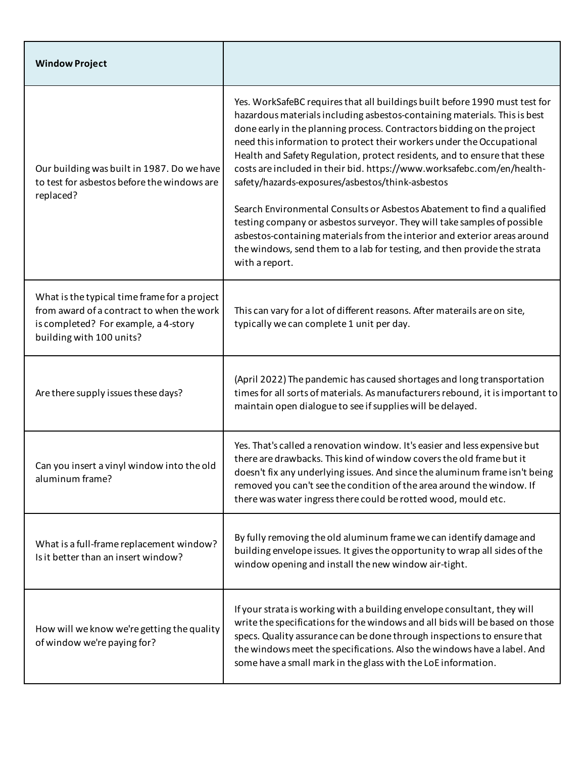| <b>Window Project</b>                                                                                                                                         |                                                                                                                                                                                                                                                                                                                                                                                                                                                                                                                                                                                                                                                                                                                                                                                                                                                          |
|---------------------------------------------------------------------------------------------------------------------------------------------------------------|----------------------------------------------------------------------------------------------------------------------------------------------------------------------------------------------------------------------------------------------------------------------------------------------------------------------------------------------------------------------------------------------------------------------------------------------------------------------------------------------------------------------------------------------------------------------------------------------------------------------------------------------------------------------------------------------------------------------------------------------------------------------------------------------------------------------------------------------------------|
| Our building was built in 1987. Do we have<br>to test for asbestos before the windows are<br>replaced?                                                        | Yes. WorkSafeBC requires that all buildings built before 1990 must test for<br>hazardous materials including asbestos-containing materials. This is best<br>done early in the planning process. Contractors bidding on the project<br>need this information to protect their workers under the Occupational<br>Health and Safety Regulation, protect residents, and to ensure that these<br>costs are included in their bid. https://www.worksafebc.com/en/health-<br>safety/hazards-exposures/asbestos/think-asbestos<br>Search Environmental Consults or Asbestos Abatement to find a qualified<br>testing company or asbestos surveyor. They will take samples of possible<br>asbestos-containing materials from the interior and exterior areas around<br>the windows, send them to a lab for testing, and then provide the strata<br>with a report. |
| What is the typical time frame for a project<br>from award of a contract to when the work<br>is completed? For example, a 4-story<br>building with 100 units? | This can vary for a lot of different reasons. After materails are on site,<br>typically we can complete 1 unit per day.                                                                                                                                                                                                                                                                                                                                                                                                                                                                                                                                                                                                                                                                                                                                  |
| Are there supply issues these days?                                                                                                                           | (April 2022) The pandemic has caused shortages and long transportation<br>times for all sorts of materials. As manufacturers rebound, it is important to<br>maintain open dialogue to see if supplies will be delayed.                                                                                                                                                                                                                                                                                                                                                                                                                                                                                                                                                                                                                                   |
| Can you insert a vinyl window into the old<br>aluminum frame?                                                                                                 | Yes. That's called a renovation window. It's easier and less expensive but<br>there are drawbacks. This kind of window covers the old frame but it<br>doesn't fix any underlying issues. And since the aluminum frame isn't being<br>removed you can't see the condition of the area around the window. If<br>there was water ingress there could be rotted wood, mould etc.                                                                                                                                                                                                                                                                                                                                                                                                                                                                             |
| What is a full-frame replacement window?<br>Is it better than an insert window?                                                                               | By fully removing the old aluminum frame we can identify damage and<br>building envelope issues. It gives the opportunity to wrap all sides of the<br>window opening and install the new window air-tight.                                                                                                                                                                                                                                                                                                                                                                                                                                                                                                                                                                                                                                               |
| How will we know we're getting the quality<br>of window we're paying for?                                                                                     | If your strata is working with a building envelope consultant, they will<br>write the specifications for the windows and all bids will be based on those<br>specs. Quality assurance can be done through inspections to ensure that<br>the windows meet the specifications. Also the windows have a label. And<br>some have a small mark in the glass with the LoE information.                                                                                                                                                                                                                                                                                                                                                                                                                                                                          |